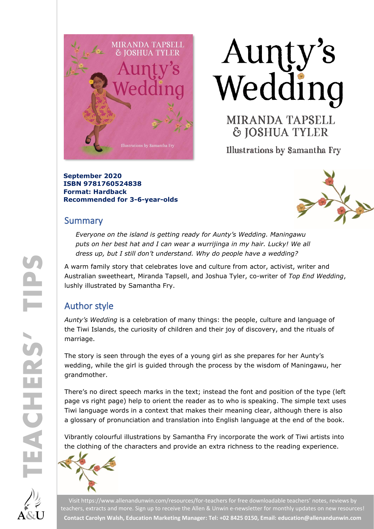





Illustrations by Samantha Fry

**September 2020 ISBN 9781760524838 Format: Hardback Recommended for 3-6-year-olds**

### Summary



*Everyone on the island is getting ready for Aunty's Wedding. Maningawu puts on her best hat and I can wear a wurrijinga in my hair. Lucky! We all dress up, but I still don't understand. Why do people have a wedding?*

A warm family story that celebrates love and culture from actor, activist, writer and Australian sweetheart, Miranda Tapsell, and Joshua Tyler, co-writer of *Top End Wedding*, lushly illustrated by Samantha Fry.

# Author style

*Aunty's Wedding* is a celebration of many things: the people, culture and language of the Tiwi Islands, the curiosity of children and their joy of discovery, and the rituals of marriage.

The story is seen through the eyes of a young girl as she prepares for her Aunty's wedding, while the girl is guided through the process by the wisdom of Maningawu, her grandmother.

There's no direct speech marks in the text; instead the font and position of the type (left page vs right page) help to orient the reader as to who is speaking. The simple text uses Tiwi language words in a context that makes their meaning clear, although there is also a glossary of pronunciation and translation into English language at the end of the book.

Vibrantly colourful illustrations by Samantha Fry incorporate the work of Tiwi artists into the clothing of the characters and provide an extra richness to the reading experience.





Visi[t https://www.allenandunwin.com/resources/for-teachers](https://www.allenandunwin.com/resources/for-teachers) for free downloadable teachers' notes, reviews by teachers, extracts and more. Sign up to receive the Allen & Unwin e-newsletter for monthly updates on new resources! **Contact Carolyn Walsh, Education Marketing Manager: Tel: +02 8425 0150, Email[: education@allenandunwin.com](mailto:education@allenandunwin.com)**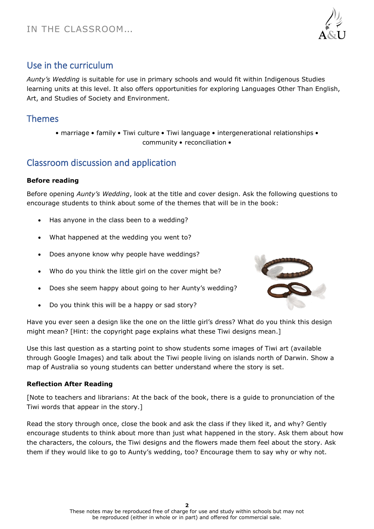

# Use in the curriculum

*Aunty's Wedding* is suitable for use in primary schools and would fit within Indigenous Studies learning units at this level. It also offers opportunities for exploring Languages Other Than English, Art, and Studies of Society and Environment.

### Themes

• marriage • family • Tiwi culture • Tiwi language • intergenerational relationships • community • reconciliation •

# Classroom discussion and application

#### **Before reading**

Before opening *Aunty's Wedding*, look at the title and cover design. Ask the following questions to encourage students to think about some of the themes that will be in the book:

- Has anyone in the class been to a wedding?
- What happened at the wedding you went to?
- Does anyone know why people have weddings?
- Who do you think the little girl on the cover might be?
- Does she seem happy about going to her Aunty's wedding?
- Do you think this will be a happy or sad story?



Have you ever seen a design like the one on the little girl's dress? What do you think this design might mean? [Hint: the copyright page explains what these Tiwi designs mean.]

Use this last question as a starting point to show students some images of Tiwi art (available through Google Images) and talk about the Tiwi people living on islands north of Darwin. Show a map of Australia so young students can better understand where the story is set.

#### **Reflection After Reading**

[Note to teachers and librarians: At the back of the book, there is a guide to pronunciation of the Tiwi words that appear in the story.]

Read the story through once, close the book and ask the class if they liked it, and why? Gently encourage students to think about more than just what happened in the story. Ask them about how the characters, the colours, the Tiwi designs and the flowers made them feel about the story. Ask them if they would like to go to Aunty's wedding, too? Encourage them to say why or why not.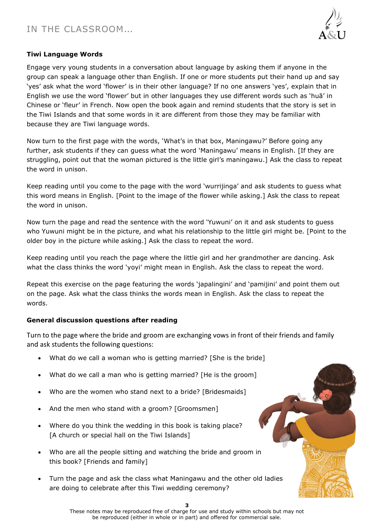# IN THE CLASSROOM…



#### **Tiwi Language Words**

Engage very young students in a conversation about language by asking them if anyone in the group can speak a language other than English. If one or more students put their hand up and say 'yes' ask what the word 'flower' is in their other language? If no one answers 'yes', explain that in English we use the word 'flower' but in other languages they use different words such as 'huā' in Chinese or 'fleur' in French. Now open the book again and remind students that the story is set in the Tiwi Islands and that some words in it are different from those they may be familiar with because they are Tiwi language words.

Now turn to the first page with the words, 'What's in that box, Maningawu?' Before going any further, ask students if they can guess what the word 'Maningawu' means in English. [If they are struggling, point out that the woman pictured is the little girl's maningawu.] Ask the class to repeat the word in unison.

Keep reading until you come to the page with the word 'wurrijinga' and ask students to guess what this word means in English. [Point to the image of the flower while asking.] Ask the class to repeat the word in unison.

Now turn the page and read the sentence with the word 'Yuwuni' on it and ask students to guess who Yuwuni might be in the picture, and what his relationship to the little girl might be. [Point to the older boy in the picture while asking.] Ask the class to repeat the word.

Keep reading until you reach the page where the little girl and her grandmother are dancing. Ask what the class thinks the word 'yoyi' might mean in English. Ask the class to repeat the word.

Repeat this exercise on the page featuring the words 'japalingini' and 'pamijini' and point them out on the page. Ask what the class thinks the words mean in English. Ask the class to repeat the words.

#### **General discussion questions after reading**

Turn to the page where the bride and groom are exchanging vows in front of their friends and family and ask students the following questions:

- What do we call a woman who is getting married? [She is the bride]
- What do we call a man who is getting married? [He is the groom]
- Who are the women who stand next to a bride? [Bridesmaids]
- And the men who stand with a groom? [Groomsmen]
- Where do you think the wedding in this book is taking place? [A church or special hall on the Tiwi Islands]
- Who are all the people sitting and watching the bride and groom in this book? [Friends and family]
- Turn the page and ask the class what Maningawu and the other old ladies are doing to celebrate after this Tiwi wedding ceremony?

**3**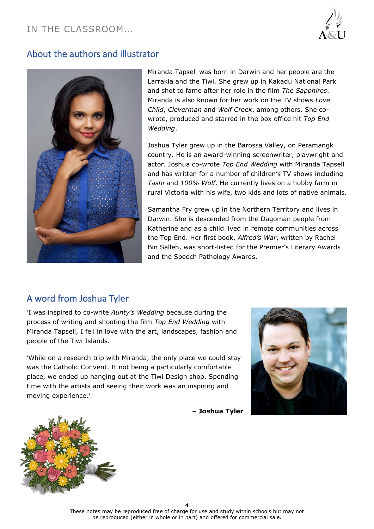## IN THE CLASSROOM…



### About the authors and illustrator



Miranda Tapsell was born in Darwin and her people are the Larrakia and the Tiwi. She grew up in Kakadu National Park and shot to fame after her role in the film *The Sapphires*. Miranda is also known for her work on the TV shows *Love Child*, *Cleverman* and *Wolf Creek*, among others. She cowrote, produced and starred in the box office hit *Top End Wedding*.

Joshua Tyler grew up in the Barossa Valley, on Peramangk country. He is an award-winning screenwriter, playwright and actor. Joshua co-wrote *Top End Wedding* with Miranda Tapsell and has written for a number of children's TV shows including *Tashi* and *100% Wolf*. He currently lives on a hobby farm in rural Victoria with his wife, two kids and lots of native animals.

Samantha Fry grew up in the Northern Territory and lives in Darwin. She is descended from the Dagoman people from Katherine and as a child lived in remote communities across the Top End. Her first book, *Alfred's War*, written by Rachel Bin Salleh, was short-listed for the Premier's Literary Awards and the Speech Pathology Awards.

### A word from Joshua Tyler

'I was inspired to co-write *Aunty's Wedding* because during the process of writing and shooting the film *Top End Wedding* with Miranda Tapsell, I fell in love with the art, landscapes, fashion and people of the Tiwi Islands.

'While on a research trip with Miranda, the only place we could stay was the Catholic Convent. It not being a particularly comfortable place, we ended up hanging out at the Tiwi Design shop. Spending time with the artists and seeing their work was an inspiring and moving experience.'

**– Joshua Tyler**